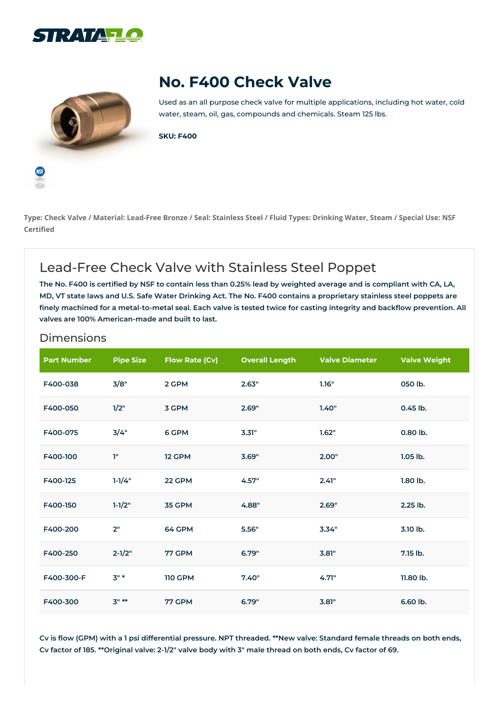



## **No. F400 Check Valve**

Used as an all purpose check valve for multiple applications, including hot water, cold water, steam, oil, gas, compounds and chemicals. Steam 125 lbs.

**SKU: F400**

Type: Check Valve / Material: Lead-Free Bronze / Seal: Stainless Steel / Fluid Types: Drinking Water, Steam / Special Use: NSF **Certified**

## Lead-Free Check Valve with Stainless Steel Poppet

The No. F400 is certified by NSF to contain less than 0.25% lead by weighted average and is compliant with CA, LA, MD, VT state laws and U.S. Safe Water Drinking Act. The No. F400 contains a proprietary stainless steel poppets are finely machined for a metal-to-metal seal. Each valve is tested twice for casting integrity and backflow prevention. All **valves are 100% American-made and built to last.**

| <b>Part Number</b> | <b>Pipe Size</b> | <b>Flow Rate (Cv)</b> | <b>Overall Length</b> | <b>Valve Diameter</b> | <b>Valve Weight</b> |
|--------------------|------------------|-----------------------|-----------------------|-----------------------|---------------------|
| F400-038           | 3/8"             | 2 GPM                 | 2.63"                 | 1.16"                 | 050 lb.             |
| F400-050           | 1/2"             | 3 GPM                 | 2.69"                 | 1.40"                 | 0.45 lb.            |
| F400-075           | 3/4"             | 6 GPM                 | 3.31"                 | 1.62"                 | 0.80 lb.            |
| F400-100           | T"               | 12 GPM                | 3.69"                 | 2.00"                 | $1.05$ lb.          |
| F400-125           | $1 - 1/4"$       | 22 GPM                | 4.57"                 | 2.41"                 | 1.80 lb.            |
| F400-150           | $1 - 1/2"$       | 35 GPM                | 4.88"                 | 2.69"                 | 2.25 lb.            |
| F400-200           | 2"               | 64 GPM                | 5.56"                 | 3.34"                 | 3.10 lb.            |
| F400-250           | $2 - 1/2"$       | <b>77 GPM</b>         | 6.79"                 | 3.81"                 | 7.15 lb.            |
| F400-300-F         | $3"$ *           | <b>110 GPM</b>        | 7.40"                 | 4.71"                 | 11.80 lb.           |
| F400-300           | $3" **$          | <b>77 GPM</b>         | 6.79"                 | 3.81"                 | 6.60 lb.            |

## Dimensions

Cv is flow (GPM) with a 1 psi differential pressure. NPT threaded. \*\*New valve: Standard female threads on both ends, Cv factor of 185. \*\* Original valve: 2-1/2" valve body with 3" male thread on both ends, Cv factor of 69.